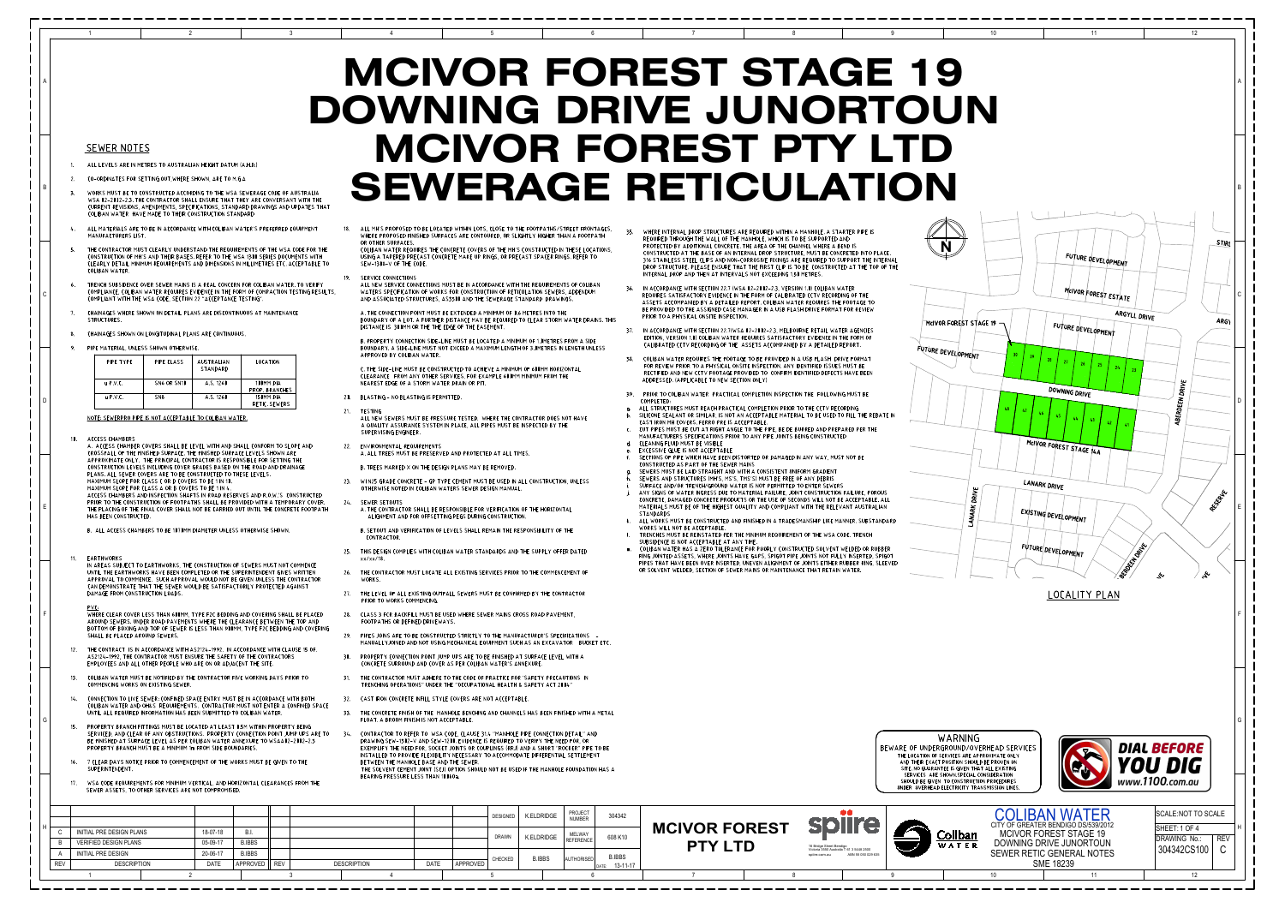## **MCIVOR FOREST STAGE 19** DOWNING DRIVE JUNORTOUN MCIVOR FOREST PTY LTD **SEWERAGE RETICULATION**

 $\overline{7}$ 

- 6

## **SEWER NOTES**

 $\overline{1}$ 

- ALL LEVELS ARE IN METRES TO AUSTRALIAN HEIGHT DATUM (A.H.D.)
- CO-ORDINATES FOR SETTING OUT, WHERE SHOWN, ARE TO M.G.A  $\overline{2}$
- WORKS MUST BE TO CONSTRUCTED ACCORDING TO THE WSA SEWERAGE CODE OF AUSTRALIA WSA 02-2002-2.3. THE CONTRACTOR SHALL ENSURE THAT THEY ARE CONVERSANT WITH THE CURRENT REVISIONS, AMENDMENTS, SPECIFICATIONS, STANDARD DRAWINGS AND UPDATES THAT COLIBAN WATER HAVE MADE TO THEIR CONSTRUCTION STANDARD
- ALL MATERIALS ARE TO BE IN ACCORDANCE WITH COLIBAN WATER'S PREFERRED EQUIPMENT MANUFACTURERS LIST.

 $\overline{2}$ 

 $\mathbf{R}$ 

- THE CONTRACTOR MUST CLEARLY UNDERSTAND THE REQUIREMENTS OF THE WSA CODE FOR THE CONSTRUCTION OF MH'S AND THEIR BASES. REFER TO THE WSA 1300 SERIES DOCUMENTS WITH CLEARLY DETAIL MINIMUM REQUIREMENTS AND DIMENSIONS IN MILLIMETRES ETC. ACCEPTABLE TO COLIBAN WATER.
- TRENCH SUBSIDENCE OVER SEWER MAINS IS A REAL CONCERN FOR COLIBAN WATER. TO VERIFY COMPLIANCE, COLIBAN WATER REQUIRES EVIDENCE IN THE FORM OF COMPACTION TESTING RESULTS, COMPLIANT WITH THE WSA CODE, SECTION 22 "ACCEPTANCE TESTING"
- CHAINAGES WHERE SHOWN ON DETAIL PLANS ARE DISCONTINUOUS AT MAINTENANCE STRUCTURES.
- CHAINAGES SHOWN ON LONGITUDINAL PLANS ARE CONTINUOUS.
- 9. PIPE MATERIAL, UNLESS SHOWN OTHERWISE

| PIPF TYPF  | PIPE CLASS      | <b>AUSTRALIAN</b><br>STANDARD | LOCATION                    |
|------------|-----------------|-------------------------------|-----------------------------|
| $u$ P.V.C. | SN6 OR SN10     | A.S. 1260                     | 100MM DIA<br>PROP. BRANCHES |
| $u$ P.V.C. | SN <sub>8</sub> | A.S. 1260                     | 150MM DIA<br>RETIC, SEWERS  |

NOTE: SEWERPRO PIPE IS NOT ACCEPTABLE TO COLIBAN WATER.

ACCESS CHAMBERS  $10$ 

> A. ACCESS CHAMBER COVERS SHALL BE LEVEL WITH AND SHALL CONFORM TO SLOPE AND CROSSFALL OF THE FINISHED SURFACE. THE FINISHED SURFACE LEVELS SHOWN ARE APPROXIMATE ONLY. THE PRINCIPAL CONTRACTOR IS RESPONSIBLE FOR SETTING THE CONSTRUCTION LEVELS INCLUDING COVER GRADES BASED ON THE ROAD AND DRAINAGE PLANS, ALL SEWER COVERS ARE TO BE CONSTRUCTED TO THESE LEVELS. MAXIMUM SLOPE FOR CLASS C OR D COVERS TO BE 1 IN 10. MAXIMUM SLOPE FOR CLASS A OR B COVERS TO BE 1 IN 4. ACCESS CHAMBERS AND INSPECTION SHAFTS IN ROAD RESERVES AND R.O.W.'S CONSTRUCTED PRIOR TO THE CONSTRUCTION OF FOOTPATHS SHALL BE PROVIDED WITH A TEMPORARY COVER. THE PLACING OF THE FINAL COVER SHALL NOT BE CARRIED OUT UNTIL THE CONCRETE FOOTPATH HAS BEEN CONSTRUCTED.

B. ALL ACCESS CHAMBERS TO BE 1070MM DIAMETER UNLESS OTHERWISE SHOWN.

## $11.$ EARTHWORKS

IN AREAS SUBJECT TO EARTHWORKS, THE CONSTRUCTION OF SEWERS MUST NOT COMMENCE UNTIL THE EARTHWORKS HAVE BEEN COMPLETED OR THE SUPERINTENDENT GIVES WRITTEN APPROVAL TO COMMENCE. SUCH APPROVAL WOULD NOT BE GIVEN UNLESS THE CONTRACTOR CAN DEMONSTRATE THAT THE SEWER WOULD BE SATISFACTORILY PROTECTED AGAINST DAMAGE FROM CONSTRUCTION LOADS.

**PVC** WHERE CLEAR COVER LESS THAN 600MM, TYPE F2C BEDDING AND COVERING SHALL BE PLACED AROUND SEWERS. UNDER ROAD PAVEMENTS WHERE THE CLEARANCE BETWEEN THE TOP AND BOTTOM OF BOXING AND TOP OF SEWER IS LESS THAN 900MM, TYPE F2C BEDDING AND COVERING SHALL BE PLACED AROUND SEWERS.

- $12.$ THE CONTRACT IS IN ACCORDANCE WITH AS2124-1992. IN ACCORDANCE WITH CLAUSE 15 OF. AS2124-1992, THE CONTRACTOR MUST ENSURE THE SAFETY OF THE CONTRACTORS EMPLOYEES AND ALL OTHER PEOPLE WHO ARE ON OR ADJACENT THE SITE.
- COLIBAN WATER MUST BE NOTIFIED BY THE CONTRACTOR FIVE WORKING DAYS PRIOR TO  $13.$ COMMENCING WORKS ON EXISTING SEWER.
- CONNECTION TO LIVE SEWER: CONFINED SPACE ENTRY MUST BE IN ACCORDANCE WITH BOTH COLIBAN WATER AND OH&S REQUIREMENTS. CONTRACTOR MUST NOT ENTER A CONFINED SPACE UNTIL ALL REQUIRED INFORMATION HAS BEEN SUBMITTED TO COLIBAN WATER.
- PROPERTY BRANCH FITTINGS MUST BE LOCATED AT LEAST 0.5M WITHIN PROPERTY BEING  $15.$ SERVICED, AND CLEAR OF ANY OBSTRUCTIONS. PROPERTY CONNECTION POINT JUMP UPS ARE TO BE FINISHED AT SURFACE LEVEL AS PER COLIBAN WATER ANNEXURE TO WSAA02-2002-2.3 PROPERTY BRANCH MUST BE A MINIMUM 1m FROM SIDE BOUNDARIES.
- 7 CLEAR DAYS NOTICE PRIOR TO COMMENCEMENT OF THE WORKS MUST BE GIVEN TO THE SUPERINTENDENT.
- WSA CODE REQUIREMENTS FOR MINIMUM VERTICAL, AND HORIZONTAL CLEARANCES FROM THE  $17<sub>1</sub>$ SEWER ASSETS, TO OTHER SERVICES ARE NOT COMPROMISED.

ALL MH'S PROPOSED TO BE LOCATED WITHIN LOTS, CLOSE TO THE FOOTPATHS/STREET FRONTAGES, WHERE PROPOSED FINISHED SURFACES ARE CONTOURED OR SI IGHTI Y HIGHER THAN A FOOTPATH OR OTHER SURFACES

USING A TAPERED PRECAST CONCRETE MAKE UP RINGS, OR PRECAST SPACER RINGS, REFER TO SEW-1308-V OF THE CODE.

SERVICE CONNECTIONS

 $\overline{4}$ 

WATERS SPECIFICATION OF WORKS FOR CONSTRUCTION OF RETICULATION SEWERS, ADDENDUM AND ASSOCIATED STRUCTURES, AS3500 AND THE SEWERAGE STANDARD DRAWINGS.

A. THE CONNECTION POINT MUST BE EXTENDED A MINIMUM OF 0.6 METRES INTO THE DISTANCE IS 300MM OR THE THE EDGE OF THE EASEMENT.

B. PROPERTY CONNECTION SIDE-LINE MUST BE LOCATED A MINIMUM OF 1.0METRES FROM A SIDE BOUNDARY. A SIDE-LINE MUST NOT EXCEED A MAXIMUM LENGTH OF 3.0METRES IN LENGTH UNLESS APPROVED BY COLIBAN WATER.

C. THE SIDE-LINE MUST BE CONSTRUCTED TO ACHIEVE A MINIMUM OF 600MM HORIZONTAL CLEARANCE FROM ANY OTHER SERVICES, FOR EXAMPLE 600MM MINIMUM FROM THE NEAREST EDGE OF A STORM WATER DRAIN OR PIT.

20. BLASTING - NO BLASTING IS PERMITTED.

21. TESTING

ALL NEW SEWERS MUST BE PRESSURE TESTED. WHERE THE CONTRACTOR DOES NOT HAVE A QUALITY ASSURANCE SYSTEM IN PLACE, ALL PIPES MUST BE INSPECTED BY THE SUPERVISING ENGINEER.

22. ENVIRONMENTAL REQUIREMENTS

- 23. WIN25 GRADE CONCRETE GP TYPE CEMENT MUST BE USED IN ALL CONSTRUCTION, UNLESS OTHERWISE NOTED IN COLIBAN WATERS SEWER DESIGN MANUAL
- 24. SEWER SETOUTS A. THE CONTRACTOR SHALL BE RESPONSIBLE FOR VERIFICATION OF THE HORIZONTAL ALIGNMENT AND FOR OFFSETTING PEGS DURING CONSTRUCTION.
	- B. SETOUT AND VERIFICATION OF LEVELS SHALL REMAIN THE RESPONSIBILITY OF THE CONTRACTOR.
- 25. THIS DESIGN COMPLIES WITH COLIBAN WATER STANDARDS AND THE SUPPLY OFFER DATED xx/xx/18.
- 26. THE CONTRACTOR MUST LOCATE ALL EXISTING SERVICES PRIOR TO THE COMMENCEMENT OF WORKS.
- 27. THE LEVEL OF ALL EXISTING OUTFALL SEWERS MUST BE CONFIRMED BY THE CONTRACTOR PRIOR TO WORKS COMMENCING.
- CLASS 3 FCR BACKFILL MUST BE USED WHERE SEWER MAINS CROSS ROAD PAVEMENT, 28. FOOTPATHS OR DEFINED DRIVEWAYS.
- 29. PIPES JOINS ARE TO BE CONSTRUCTED STRICTLY TO THE MANUFACTURER'S SPECIFICATIONS -MANUALLYJOINED AND NOT USING MECHANICAL EQUIPMENT SUCH AS AN EXCAVATOR BUCKET ETC.
- 30. PROPERTY CONNECTION POINT JUMP UPS ARE TO BE FINISHED AT SURFACE LEVEL WITH A CONCRETE SURROUND AND COVER AS PER COLIBAN WATER'S ANNEXURE
- 31. THE CONTRACTOR MUST ADHERE TO THE CODE OF PRACTICE FOR 'SAFETY PRECAUTIONS IN TRENCHING OPERATIONS" UNDER THE "OCCUPATIONAL HEALTH & SAFETY ACT 2004"
- 32. CAST IRON CONCRETE INFILL STYLE COVERS ARE NOT ACCEPTABLE.

FLOAT. A BROOM FINISH IS NOT ACCEPTABLE.

- 33. THE CONCRETE FINISH OF THE MANHOLE BENCHING AND CHANNELS HAS BEEN FINISHED WITH A METAL
- CONTRACTOR TO REFER TO WSA CODE, CLAUSE 31.4 "MANHOLE PIPE CONNECTION DETAIL" AND  $-34.$ DRAWING SEW-1302-V AND SEW-1200. EVIDENCE IS REQUIRED TO VERIFY THE NEED FOR, OR EXEMPLIFY THE NEED FOR, SOCKET JOINTS OR COUPLINGS (RRJ) AND A SHORT "ROCKER" PIPE TO BE INSTALLED TO PROVIDE FLEXIBILITY NECESSARY TO ACCOMMODATE DIFFERENTIAL SETTLEMENT BETWEEN THE MANHOLE BASE AND THE SEWER. THE SOLVENT CEMENT JOINT (SCJ) OPTION SHOULD NOT BE USED IF THE MANHOLE FOUNDATION HAS A BEARING PRESSURE LESS THAN 100kOa.

| H. |             |                              |  |             |               |            |                    |             |          | <b>DESIGNED</b> | K.ELDRIDGE    | PROJECT<br><b>NUMBER</b> | 304342         |  |
|----|-------------|------------------------------|--|-------------|---------------|------------|--------------------|-------------|----------|-----------------|---------------|--------------------------|----------------|--|
|    | $\sim$<br>◡ | INITIAL PRE DESIGN PLANS     |  | 18-07-18    | B.I.          |            |                    |             |          | <b>DRAWN</b>    | K.ELDRIDGE    | MELWAY                   | 608 K10        |  |
|    | B           | <b>VERIFIED DESIGN PLANS</b> |  | 05-09-17    | <b>B.IBBS</b> |            |                    |             |          |                 |               | REFERENCE                |                |  |
|    |             | <b>INITIAL PRE DESIGN</b>    |  | 20-06-17    | <b>B.IBBS</b> |            |                    |             |          | <b>CHECKED</b>  | <b>B.IBBS</b> | AUTHORISED               | <b>B.IBBS</b>  |  |
|    | <b>REV</b>  | <b>DESCRIPTION</b>           |  | <b>DATE</b> | APPROVED      | <b>REV</b> | <b>DESCRIPTION</b> | <b>DATE</b> | APPROVED |                 |               |                          | DATE: 13-11-17 |  |
|    |             |                              |  |             |               |            |                    |             |          |                 |               |                          |                |  |

- COLIBAN WATER REQUIRES THE CONCRETE COVERS OF THE MH'S CONSTRUCTED IN THESE LOCATIONS.
- ALL NEW SERVICE CONNECTIONS MUST BE IN ACCORDANCE WITH THE REQUIREMENTS OF COLIBAN
- BOUNDARY OF A LOT. A FURTHER DISTANCE MAY BE REQUIRED TO CLEAR STORM WATER DRAINS. THIS
	-
	-
	-
- A. ALL TREES MUST BE PRESERVED AND PROTECTED AT ALL TIMES.
- B. TREES MARKED X ON THE DESIGN PLANS MAY BE REMOVED.

 $5<sup>5</sup>$ 

WHERE INTERNAL DROP STRUCTURES ARE REQUIRED WITHIN A MANHOLE. A STARTER PIPE IS REQUIRED THROUGH THE WALL OF THE MANHOLE, WHICH IS TO BE SUPPORTED AND PROTECTED BY ADDITIONAL CONCRETE. THE AREA OF THE CHANNEL WHERE A BEND IS CONSTRUCTED AT THE BASE OF AN INTERNAL DROP STRUCTURE, MUST BE CONCRETED INTO PLACE. 316 STAINLESS STEEL CLIPS AND NON-CORROSIVE FIXINGS ARE REQUIRED TO SUPPORT THE INTERNAL DROP STRUCTURE. PLEASE ENSURE THAT THE FIRST CLIP IS TO BE CONSTRUCTED AT THE TOP OF THE INTERNAL DROP AND THEN AT INTERVALS NOT EXCEEDING 1.50 METRES.

- 8

- IN ACCORDANCE WITH SECTION 22.7 (WSA 02-2002-2.3, VERSION 1.0) COLIBAN WATER REQUIRES SATISFACTORY EVIDENCE IN THE FORM OF CALIBRATED CCTV RECORDING OF THE ASSETS ACCOMPANIED BY A DETAILED REPORT. COLIBAN WATER REQUIRES THE FOOTAGE TO BE PROVIDED TO THE ASSIGNED CASE MANAGER IN A USB FLASH DRIVE FORMAT FOR REVIEW PRIOR TO A PHYSICAL ONSITE INSPECTION.
- 37. IN ACCORDANCE WITH SECTION 22.7(WSA 02-2002-2.3, MELBOURNE RETAIL WATER AGENCIES EDITION, VERSION 1.0) COLIBAN WATER REQUIRES SATISFACTORY EVIDENCE IN THE FORM OF CALIBRATED CCTV RECORDING OF THE ASSETS ACCOMPANIED BY A DETAILED REPORT.
- 38. COLIBAN WATER REQUIRES THE FOOTAGE TO BE PROVIDED IN A USB FLASH DRIVE FORMAT FOR REVIEW PRIOR TO A PHYSICAL ONSITE INSPECTION. ANY IDENTIFIED ISSUES MUST BE RECTIFIED AND NEW CCTV FOOTAGE PROVIDED TO CONFIRM IDENTIFIED DEFECTS HAVE BEEN ADDRESSED. (APPLICABLE TO NEW SECTION ONLY)
- PRIOR TO COLIBAN WATER PRACTICAL COMPLETION INSPECTION THE FOLLOWING MUST BE 39. COMPLETED:
- a. ALL STRUCTURES MUST REACH PRACTICAL COMPLETION PRIOR TO THE CCTV RECORDING SILICONE SEALANT OR SIMILAR, IS NOT AN ACCEPTABLE MATERIAL TO BE USED TO FILL THE REBATE IN CAST IRON MH COVERS. FERRO PRE IS ACCEPTABLE.
- c. CUT PIPES MUST BE CUT AT RIGHT ANGLE TO THE PIPE, BE DE BURRED AND PREPARED PER THE MANUFACTURERS SPECIFICATIONS PRIOR TO ANY PIPE JOINTS BEING CONSTRUCTED
- d. CLEANING FLUID MUST BE VISIBLE
- e. EXCESSIVE GLUE IS NOT ACCEPTABLE SECTIONS OF PIPE WHICH HAVE BEEN DISTORTED OR DAMAGED IN ANY WAY. MUST NOT BE CONSTRUCTED AS PART OF THE SEWER MA
- SEWERS MUST BE LAID STRAIGHT AND WIT
- SEWERS AND STRUCTURES (MH'S, MS'S, T
- SURFACE AND/OR TRENCH/GROUND WATE ON FAILURE, POROUS ANY SIGNS OF WATER INGRESS DUE TO MA BE ACCEPTABLE. ALL CONCRETE, DAMAGED CONCRETE PRODUCT MATERIALS MUST BE OF THE HIGHEST QUALITY AND COMPLIANT WITH THE RELEVANT AUSTRALIAN STANDARDS
- k. ALL WORKS MUST BE CONSTRUCTED AND FINISHED IN A TRADESMANSHIP LIKE MANNER. SUBSTANDARD WORKS WILL NOT BE ACCEPTABLE
- TRENCHES MUST BE REINSTATED PER THE MINIMUM REQUIREMENT OF THE WSA CODE. TRENCH SUBSIDENCE IS NOT ACCEPTABLE AT ANY TIME.
- COLIBAN WATER HAS A ZERO TOLERANCE FOR POORLY CONSTRUCTED SOLVENT WELDED OR RUBBER  $m<sub>1</sub>$ RING JOINTED ASSETS, WHERE JOINTS HAVE GAPS, SPIGOT PIPE JOINTS NOT FULLY INSERTED, SPIGOT PIPES THAT HAVE BEEN OVER INSERTED, UNEVEN ALIGNMENT OF JOINTS EITHER RUBBER RING, SLEEVED OR SOLVENT WELDED. SECTION OF SEWER MAINS OR MAINTENANCE THAT RETAIN WATER.



- 9



**MCIVOR FOREST PTY LTD** 

- 8

 $\overline{7}$ 

| <b>AINS</b>                        |
|------------------------------------|
| TH A CONSISTENT UNIFORM GRADIENT   |
| MS'S) MUST BE FREE OF ANY DEBRIS   |
| R IS NOT PERMITTED TO ENTER SEWEF  |
| ATERIAL FAILURE, JOINT CONSTRUCTIO |
| S OR THE USE OF SECONDS WILL NOT E |
|                                    |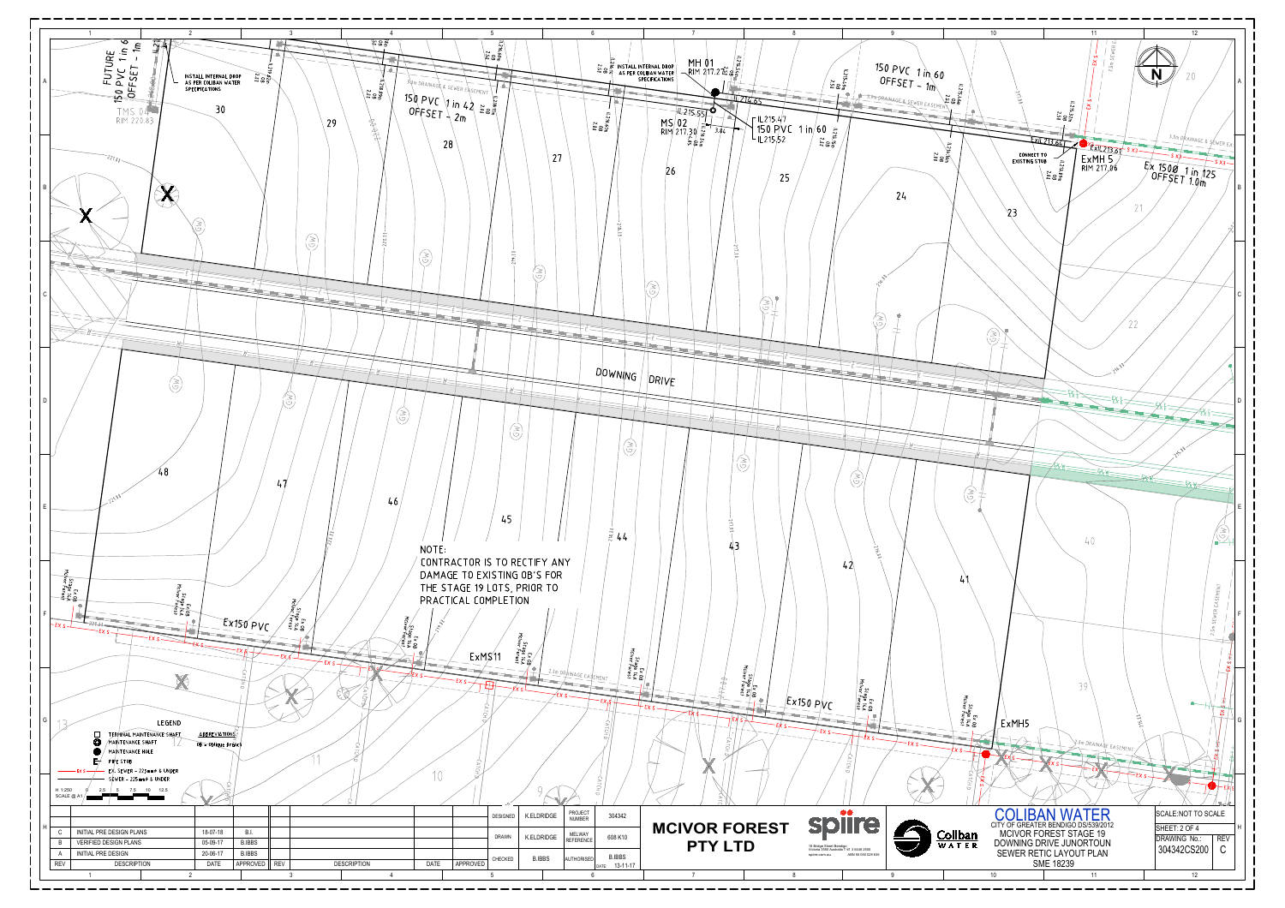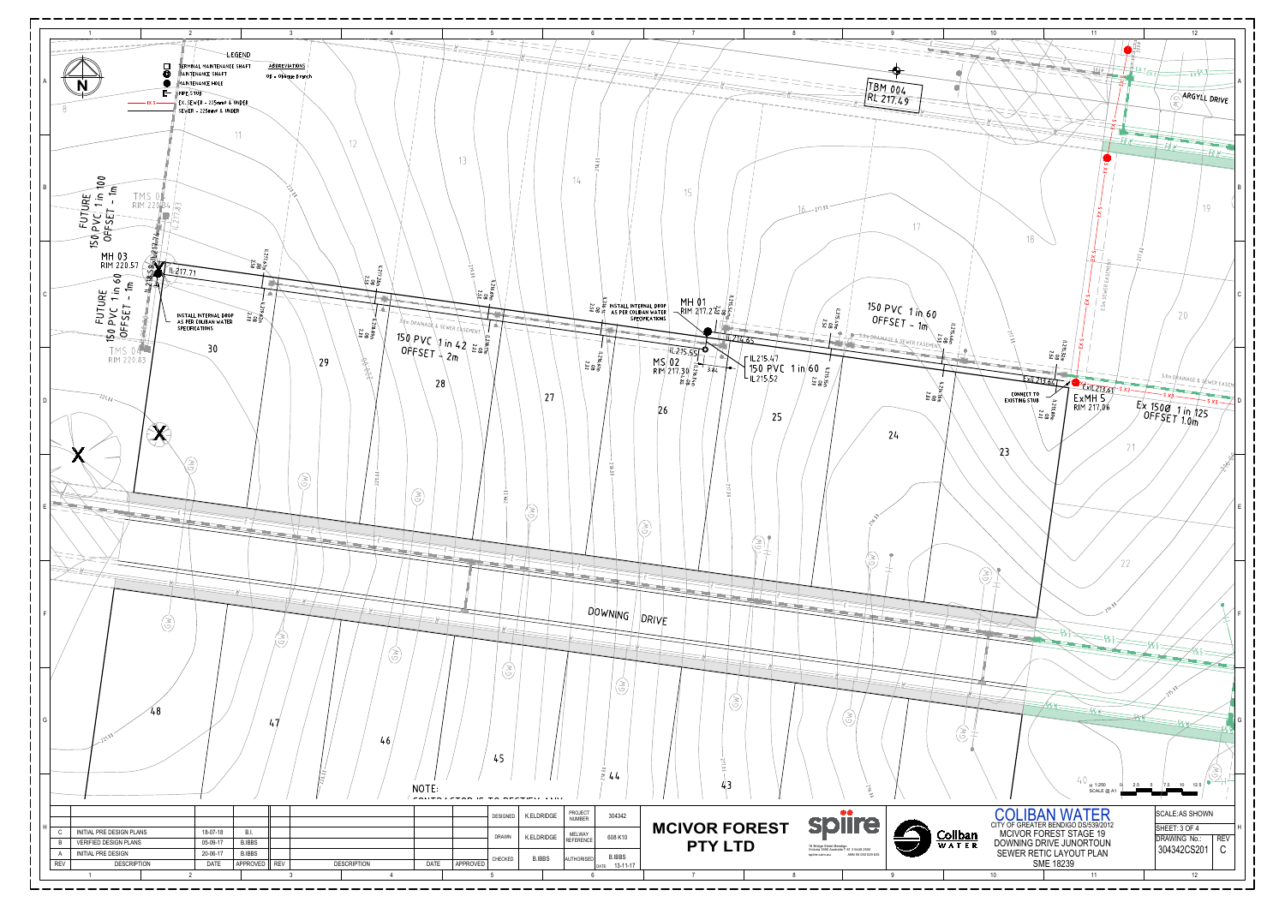

|            | INITIAL PRE DESIGN PLANS     | 18-07-18    | B.I.          |            |                    |             |          |
|------------|------------------------------|-------------|---------------|------------|--------------------|-------------|----------|
| B          | <b>VERIFIED DESIGN PLANS</b> | 05-09-17    | <b>B.IBBS</b> |            |                    |             |          |
|            | <b>INITIAL PRE DESIGN</b>    | 20-06-17    | <b>B.IBBS</b> |            |                    |             |          |
| <b>REV</b> | <b>DESCRIPTION</b>           | <b>DATE</b> | APPROVED      | <b>REV</b> | <b>DESCRIPTION</b> | <b>DATE</b> | APPROVED |
|            |                              |             |               |            |                    |             |          |